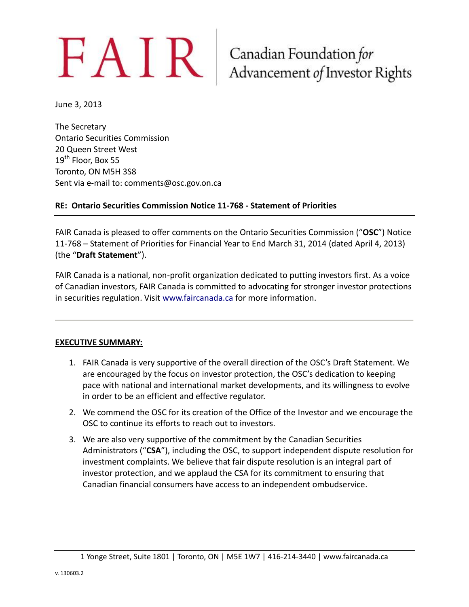# $FAN$ R Canadian Foundation for Advancement of Investor Rights

June 3, 2013

The Secretary Ontario Securities Commission 20 Queen Street West 19<sup>th</sup> Floor, Box 55 Toronto, ON M5H 3S8 Sent via e-mail to: comments@osc.gov.on.ca

#### **RE: Ontario Securities Commission Notice 11-768 - Statement of Priorities**

FAIR Canada is pleased to offer comments on the Ontario Securities Commission ("**OSC**") Notice 11-768 – Statement of Priorities for Financial Year to End March 31, 2014 (dated April 4, 2013) (the "**Draft Statement**").

FAIR Canada is a national, non-profit organization dedicated to putting investors first. As a voice of Canadian investors, FAIR Canada is committed to advocating for stronger investor protections in securities regulation. Visit [www.faircanada.ca](http://www.faircanada.ca/) for more information.

#### **EXECUTIVE SUMMARY:**

- 1. FAIR Canada is very supportive of the overall direction of the OSC's Draft Statement. We are encouraged by the focus on investor protection, the OSC's dedication to keeping pace with national and international market developments, and its willingness to evolve in order to be an efficient and effective regulator.
- 2. We commend the OSC for its creation of the Office of the Investor and we encourage the OSC to continue its efforts to reach out to investors.
- 3. We are also very supportive of the commitment by the Canadian Securities Administrators ("**CSA**"), including the OSC, to support independent dispute resolution for investment complaints. We believe that fair dispute resolution is an integral part of investor protection, and we applaud the CSA for its commitment to ensuring that Canadian financial consumers have access to an independent ombudservice.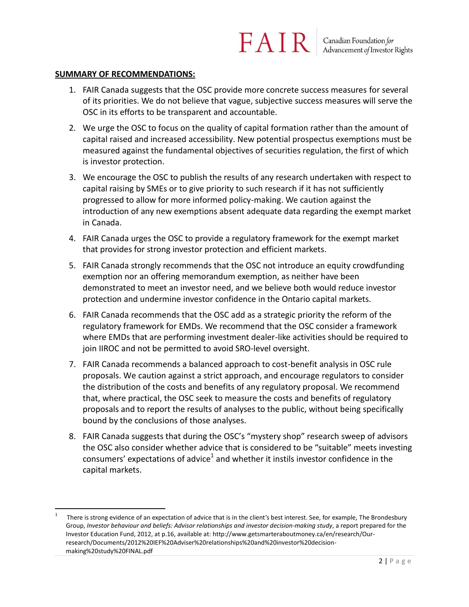#### **SUMMARY OF RECOMMENDATIONS:**

- 1. FAIR Canada suggests that the OSC provide more concrete success measures for several of its priorities. We do not believe that vague, subjective success measures will serve the OSC in its efforts to be transparent and accountable.
- 2. We urge the OSC to focus on the quality of capital formation rather than the amount of capital raised and increased accessibility. New potential prospectus exemptions must be measured against the fundamental objectives of securities regulation, the first of which is investor protection.
- 3. We encourage the OSC to publish the results of any research undertaken with respect to capital raising by SMEs or to give priority to such research if it has not sufficiently progressed to allow for more informed policy-making. We caution against the introduction of any new exemptions absent adequate data regarding the exempt market in Canada.
- 4. FAIR Canada urges the OSC to provide a regulatory framework for the exempt market that provides for strong investor protection and efficient markets.
- 5. FAIR Canada strongly recommends that the OSC not introduce an equity crowdfunding exemption nor an offering memorandum exemption, as neither have been demonstrated to meet an investor need, and we believe both would reduce investor protection and undermine investor confidence in the Ontario capital markets.
- 6. FAIR Canada recommends that the OSC add as a strategic priority the reform of the regulatory framework for EMDs. We recommend that the OSC consider a framework where EMDs that are performing investment dealer-like activities should be required to join IIROC and not be permitted to avoid SRO-level oversight.
- 7. FAIR Canada recommends a balanced approach to cost-benefit analysis in OSC rule proposals. We caution against a strict approach, and encourage regulators to consider the distribution of the costs and benefits of any regulatory proposal. We recommend that, where practical, the OSC seek to measure the costs and benefits of regulatory proposals and to report the results of analyses to the public, without being specifically bound by the conclusions of those analyses.
- 8. FAIR Canada suggests that during the OSC's "mystery shop" research sweep of advisors the OSC also consider whether advice that is considered to be "suitable" meets investing consumers' expectations of advice<sup>1</sup> and whether it instils investor confidence in the capital markets.

 $\overline{a}$ 1 There is strong evidence of an expectation of advice that is in the client's best interest. See, for example, The Brondesbury Group, *Investor behaviour and beliefs: Advisor relationships and investor decision-making study*, a report prepared for the Investor Education Fund, 2012, at p.16, available at: http://www.getsmarteraboutmoney.ca/en/research/Ourresearch/Documents/2012%20IEF%20Adviser%20relationships%20and%20investor%20decisionmaking%20study%20FINAL.pdf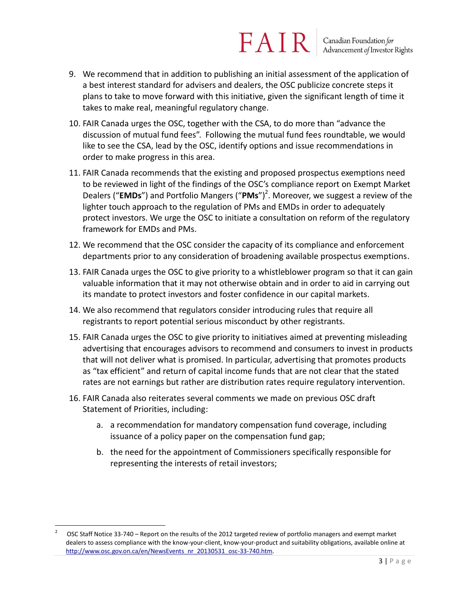- 9. We recommend that in addition to publishing an initial assessment of the application of a best interest standard for advisers and dealers, the OSC publicize concrete steps it plans to take to move forward with this initiative, given the significant length of time it takes to make real, meaningful regulatory change.
- 10. FAIR Canada urges the OSC, together with the CSA, to do more than "advance the discussion of mutual fund fees". Following the mutual fund fees roundtable, we would like to see the CSA, lead by the OSC, identify options and issue recommendations in order to make progress in this area.
- 11. FAIR Canada recommends that the existing and proposed prospectus exemptions need to be reviewed in light of the findings of the OSC's compliance report on Exempt Market Dealers ("**EMDs**") and Portfolio Mangers ("PMs")<sup>2</sup>. Moreover, we suggest a review of the lighter touch approach to the regulation of PMs and EMDs in order to adequately protect investors. We urge the OSC to initiate a consultation on reform of the regulatory framework for EMDs and PMs.
- 12. We recommend that the OSC consider the capacity of its compliance and enforcement departments prior to any consideration of broadening available prospectus exemptions.
- 13. FAIR Canada urges the OSC to give priority to a whistleblower program so that it can gain valuable information that it may not otherwise obtain and in order to aid in carrying out its mandate to protect investors and foster confidence in our capital markets.
- 14. We also recommend that regulators consider introducing rules that require all registrants to report potential serious misconduct by other registrants.
- 15. FAIR Canada urges the OSC to give priority to initiatives aimed at preventing misleading advertising that encourages advisors to recommend and consumers to invest in products that will not deliver what is promised. In particular, advertising that promotes products as "tax efficient" and return of capital income funds that are not clear that the stated rates are not earnings but rather are distribution rates require regulatory intervention.
- 16. FAIR Canada also reiterates several comments we made on previous OSC draft Statement of Priorities, including:
	- a. a recommendation for mandatory compensation fund coverage, including issuance of a policy paper on the compensation fund gap;
	- b. the need for the appointment of Commissioners specifically responsible for representing the interests of retail investors;

<sup>2</sup> OSC Staff Notice 33-740 – Report on the results of the 2012 targeted review of portfolio managers and exempt market dealers to assess compliance with the know-your-client, know-your-product and suitability obligations, available online at [http://www.osc.gov.on.ca/en/NewsEvents\\_nr\\_20130531\\_osc-33-740.htm.](http://www.osc.gov.on.ca/en/NewsEvents_nr_20130531_osc-33-740.htm)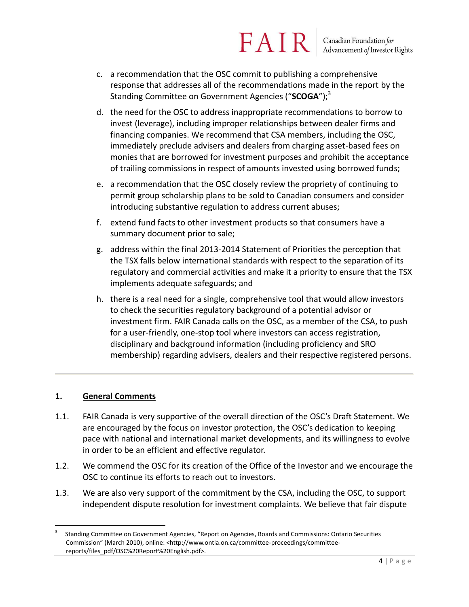Canadian Foundation for<br>Advancement of Investor Rights

- c. a recommendation that the OSC commit to publishing a comprehensive response that addresses all of the recommendations made in the report by the Standing Committee on Government Agencies ("**SCOGA**");<sup>3</sup>
- d. the need for the OSC to address inappropriate recommendations to borrow to invest (leverage), including improper relationships between dealer firms and financing companies. We recommend that CSA members, including the OSC, immediately preclude advisers and dealers from charging asset-based fees on monies that are borrowed for investment purposes and prohibit the acceptance of trailing commissions in respect of amounts invested using borrowed funds;
- e. a recommendation that the OSC closely review the propriety of continuing to permit group scholarship plans to be sold to Canadian consumers and consider introducing substantive regulation to address current abuses;
- f. extend fund facts to other investment products so that consumers have a summary document prior to sale;
- g. address within the final 2013-2014 Statement of Priorities the perception that the TSX falls below international standards with respect to the separation of its regulatory and commercial activities and make it a priority to ensure that the TSX implements adequate safeguards; and
- h. there is a real need for a single, comprehensive tool that would allow investors to check the securities regulatory background of a potential advisor or investment firm. FAIR Canada calls on the OSC, as a member of the CSA, to push for a user-friendly, one-stop tool where investors can access registration, disciplinary and background information (including proficiency and SRO membership) regarding advisers, dealers and their respective registered persons.

#### **1. General Comments**

- 1.1. FAIR Canada is very supportive of the overall direction of the OSC's Draft Statement. We are encouraged by the focus on investor protection, the OSC's dedication to keeping pace with national and international market developments, and its willingness to evolve in order to be an efficient and effective regulator.
- 1.2. We commend the OSC for its creation of the Office of the Investor and we encourage the OSC to continue its efforts to reach out to investors.
- 1.3. We are also very support of the commitment by the CSA, including the OSC, to support independent dispute resolution for investment complaints. We believe that fair dispute

 $\overline{a}$ 3 Standing Committee on Government Agencies, "Report on Agencies, Boards and Commissions: Ontario Securities Commission" (March 2010), online: <http://www.ontla.on.ca/committee-proceedings/committeereports/files\_pdf/OSC%20Report%20English.pdf>.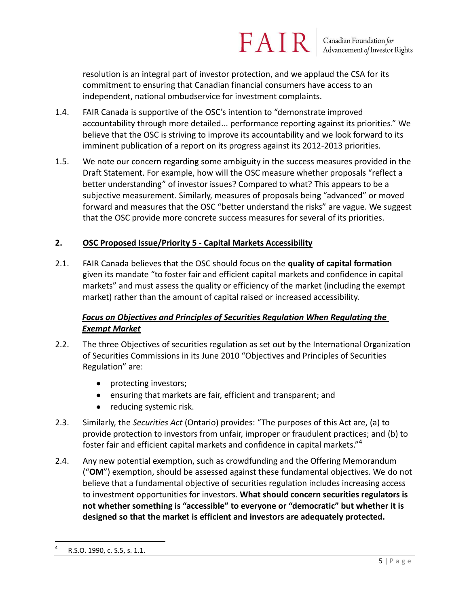Canadian Foundation for<br>Advancement of Investor Rights

resolution is an integral part of investor protection, and we applaud the CSA for its commitment to ensuring that Canadian financial consumers have access to an independent, national ombudservice for investment complaints.

- 1.4. FAIR Canada is supportive of the OSC's intention to "demonstrate improved accountability through more detailed... performance reporting against its priorities." We believe that the OSC is striving to improve its accountability and we look forward to its imminent publication of a report on its progress against its 2012-2013 priorities.
- 1.5. We note our concern regarding some ambiguity in the success measures provided in the Draft Statement. For example, how will the OSC measure whether proposals "reflect a better understanding" of investor issues? Compared to what? This appears to be a subjective measurement. Similarly, measures of proposals being "advanced" or moved forward and measures that the OSC "better understand the risks" are vague. We suggest that the OSC provide more concrete success measures for several of its priorities.

#### **2. OSC Proposed Issue/Priority 5 - Capital Markets Accessibility**

2.1. FAIR Canada believes that the OSC should focus on the **quality of capital formation** given its mandate "to foster fair and efficient capital markets and confidence in capital markets" and must assess the quality or efficiency of the market (including the exempt market) rather than the amount of capital raised or increased accessibility.

#### *Focus on Objectives and Principles of Securities Regulation When Regulating the Exempt Market*

- 2.2. The three Objectives of securities regulation as set out by the International Organization of Securities Commissions in its June 2010 "Objectives and Principles of Securities Regulation" are:
	- protecting investors;
	- ensuring that markets are fair, efficient and transparent; and
	- $\bullet$ reducing systemic risk.
- 2.3. Similarly, the *Securities Act* (Ontario) provides: "The purposes of this Act are, (a) to provide protection to investors from unfair, improper or fraudulent practices; and (b) to foster fair and efficient capital markets and confidence in capital markets."<sup>4</sup>
- 2.4. Any new potential exemption, such as crowdfunding and the Offering Memorandum ("**OM**") exemption, should be assessed against these fundamental objectives. We do not believe that a fundamental objective of securities regulation includes increasing access to investment opportunities for investors. **What should concern securities regulators is not whether something is "accessible" to everyone or "democratic" but whether it is designed so that the market is efficient and investors are adequately protected.**

<sup>4</sup> R.S.O. 1990, c. S.5, s. 1.1.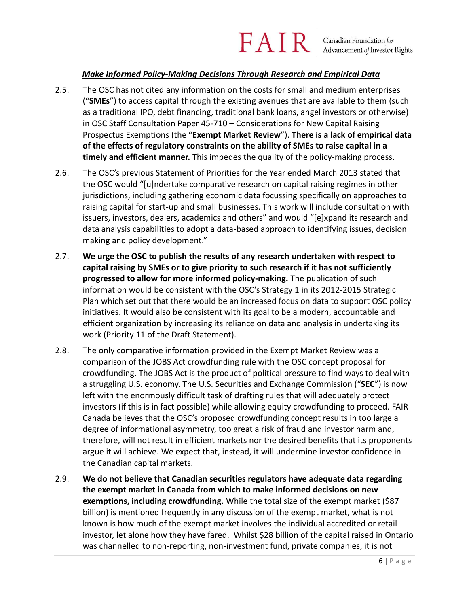### FAIR Canadian Foundation for<br>Advancement of Investor Rights

#### *Make Informed Policy-Making Decisions Through Research and Empirical Data*

- 2.5. The OSC has not cited any information on the costs for small and medium enterprises ("**SMEs**") to access capital through the existing avenues that are available to them (such as a traditional IPO, debt financing, traditional bank loans, angel investors or otherwise) in OSC Staff Consultation Paper 45-710 – Considerations for New Capital Raising Prospectus Exemptions (the "**Exempt Market Review**"). **There is a lack of empirical data of the effects of regulatory constraints on the ability of SMEs to raise capital in a timely and efficient manner.** This impedes the quality of the policy-making process.
- 2.6. The OSC's previous Statement of Priorities for the Year ended March 2013 stated that the OSC would "[u]ndertake comparative research on capital raising regimes in other jurisdictions, including gathering economic data focussing specifically on approaches to raising capital for start-up and small businesses. This work will include consultation with issuers, investors, dealers, academics and others" and would "[e]xpand its research and data analysis capabilities to adopt a data-based approach to identifying issues, decision making and policy development."
- 2.7. **We urge the OSC to publish the results of any research undertaken with respect to capital raising by SMEs or to give priority to such research if it has not sufficiently progressed to allow for more informed policy-making.** The publication of such information would be consistent with the OSC's Strategy 1 in its 2012-2015 Strategic Plan which set out that there would be an increased focus on data to support OSC policy initiatives. It would also be consistent with its goal to be a modern, accountable and efficient organization by increasing its reliance on data and analysis in undertaking its work (Priority 11 of the Draft Statement).
- 2.8. The only comparative information provided in the Exempt Market Review was a comparison of the JOBS Act crowdfunding rule with the OSC concept proposal for crowdfunding. The JOBS Act is the product of political pressure to find ways to deal with a struggling U.S. economy. The U.S. Securities and Exchange Commission ("**SEC**") is now left with the enormously difficult task of drafting rules that will adequately protect investors (if this is in fact possible) while allowing equity crowdfunding to proceed. FAIR Canada believes that the OSC's proposed crowdfunding concept results in too large a degree of informational asymmetry, too great a risk of fraud and investor harm and, therefore, will not result in efficient markets nor the desired benefits that its proponents argue it will achieve. We expect that, instead, it will undermine investor confidence in the Canadian capital markets.
- 2.9. **We do not believe that Canadian securities regulators have adequate data regarding the exempt market in Canada from which to make informed decisions on new exemptions, including crowdfunding.** While the total size of the exempt market (\$87 billion) is mentioned frequently in any discussion of the exempt market, what is not known is how much of the exempt market involves the individual accredited or retail investor, let alone how they have fared. Whilst \$28 billion of the capital raised in Ontario was channelled to non-reporting, non-investment fund, private companies, it is not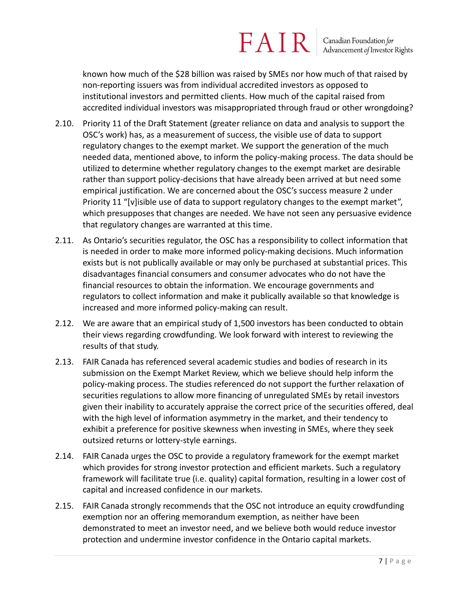## $FAN$  R  $\vert$  Canadian Foundation for

known how much of the \$28 billion was raised by SMEs nor how much of that raised by non-reporting issuers was from individual accredited investors as opposed to institutional investors and permitted clients. How much of the capital raised from accredited individual investors was misappropriated through fraud or other wrongdoing?

- 2.10. Priority 11 of the Draft Statement (greater reliance on data and analysis to support the OSC's work) has, as a measurement of success, the visible use of data to support regulatory changes to the exempt market. We support the generation of the much needed data, mentioned above, to inform the policy-making process. The data should be utilized to determine whether regulatory changes to the exempt market are desirable rather than support policy-decisions that have already been arrived at but need some empirical justification. We are concerned about the OSC's success measure 2 under Priority 11 "[v]isible use of data to support regulatory changes to the exempt market", which presupposes that changes are needed. We have not seen any persuasive evidence that regulatory changes are warranted at this time.
- 2.11. As Ontario's securities regulator, the OSC has a responsibility to collect information that is needed in order to make more informed policy-making decisions. Much information exists but is not publically available or may only be purchased at substantial prices. This disadvantages financial consumers and consumer advocates who do not have the financial resources to obtain the information. We encourage governments and regulators to collect information and make it publically available so that knowledge is increased and more informed policy-making can result.
- 2.12. We are aware that an empirical study of 1,500 investors has been conducted to obtain their views regarding crowdfunding. We look forward with interest to reviewing the results of that study.
- 2.13. FAIR Canada has referenced several academic studies and bodies of research in its submission on the Exempt Market Review, which we believe should help inform the policy-making process. The studies referenced do not support the further relaxation of securities regulations to allow more financing of unregulated SMEs by retail investors given their inability to accurately appraise the correct price of the securities offered, deal with the high level of information asymmetry in the market, and their tendency to exhibit a preference for positive skewness when investing in SMEs, where they seek outsized returns or lottery-style earnings.
- 2.14. FAIR Canada urges the OSC to provide a regulatory framework for the exempt market which provides for strong investor protection and efficient markets. Such a regulatory framework will facilitate true (i.e. quality) capital formation, resulting in a lower cost of capital and increased confidence in our markets.
- 2.15. FAIR Canada strongly recommends that the OSC not introduce an equity crowdfunding exemption nor an offering memorandum exemption, as neither have been demonstrated to meet an investor need, and we believe both would reduce investor protection and undermine investor confidence in the Ontario capital markets.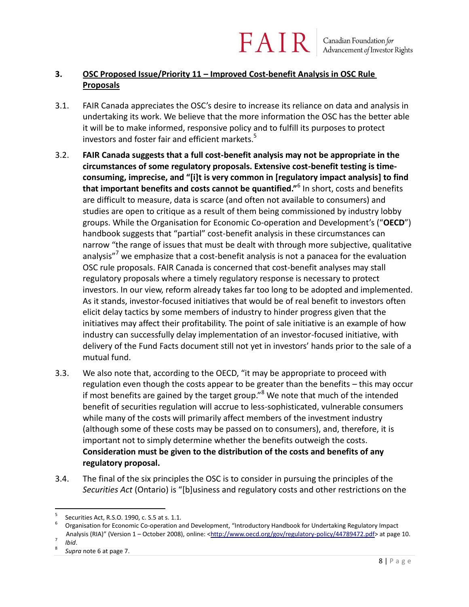#### **3. OSC Proposed Issue/Priority 11 – Improved Cost-benefit Analysis in OSC Rule Proposals**

3.1. FAIR Canada appreciates the OSC's desire to increase its reliance on data and analysis in undertaking its work. We believe that the more information the OSC has the better able it will be to make informed, responsive policy and to fulfill its purposes to protect investors and foster fair and efficient markets.<sup>5</sup>

FAIR

- 3.2. **FAIR Canada suggests that a full cost-benefit analysis may not be appropriate in the circumstances of some regulatory proposals. Extensive cost-benefit testing is timeconsuming, imprecise, and "[i]t is very common in [regulatory impact analysis] to find that important benefits and costs cannot be quantified."**<sup>6</sup> In short, costs and benefits are difficult to measure, data is scarce (and often not available to consumers) and studies are open to critique as a result of them being commissioned by industry lobby groups. While the Organisation for Economic Co-operation and Development's ("**OECD**") handbook suggests that "partial" cost-benefit analysis in these circumstances can narrow "the range of issues that must be dealt with through more subjective, qualitative analysis"<sup>7</sup> we emphasize that a cost-benefit analysis is not a panacea for the evaluation OSC rule proposals. FAIR Canada is concerned that cost-benefit analyses may stall regulatory proposals where a timely regulatory response is necessary to protect investors. In our view, reform already takes far too long to be adopted and implemented. As it stands, investor-focused initiatives that would be of real benefit to investors often elicit delay tactics by some members of industry to hinder progress given that the initiatives may affect their profitability. The point of sale initiative is an example of how industry can successfully delay implementation of an investor-focused initiative, with delivery of the Fund Facts document still not yet in investors' hands prior to the sale of a mutual fund.
- 3.3. We also note that, according to the OECD, "it may be appropriate to proceed with regulation even though the costs appear to be greater than the benefits – this may occur if most benefits are gained by the target group."<sup>8</sup> We note that much of the intended benefit of securities regulation will accrue to less-sophisticated, vulnerable consumers while many of the costs will primarily affect members of the investment industry (although some of these costs may be passed on to consumers), and, therefore, it is important not to simply determine whether the benefits outweigh the costs. **Consideration must be given to the distribution of the costs and benefits of any regulatory proposal.**
- 3.4. The final of the six principles the OSC is to consider in pursuing the principles of the *Securities Act* (Ontario) is "[b]usiness and regulatory costs and other restrictions on the

7 *Ibid*.

<sup>5</sup> Securities Act, R.S.O. 1990, c. S.5 at s. 1.1.

<sup>6</sup> Organisation for Economic Co-operation and Development, "Introductory Handbook for Undertaking Regulatory Impact Analysis (RIA)" (Version 1 – October 2008), online: [<http://www.oecd.org/gov/regulatory-policy/44789472.pdf>](http://www.oecd.org/gov/regulatory-policy/44789472.pdf) at page 10.

<sup>8</sup> *Supra* note 6 at page 7.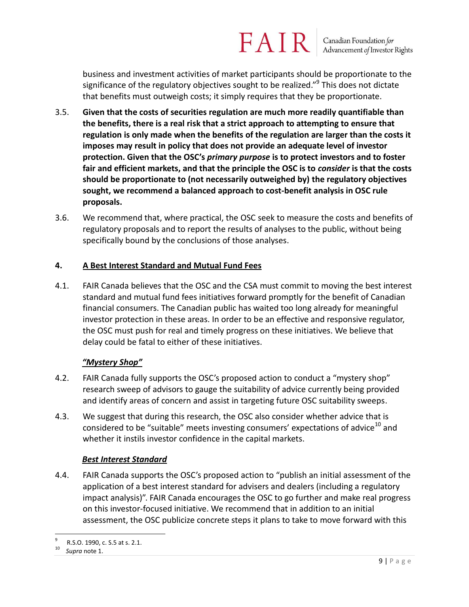Canadian Foundation for<br>Advancement of Investor Rights

business and investment activities of market participants should be proportionate to the significance of the regulatory objectives sought to be realized."<sup>9</sup> This does not dictate that benefits must outweigh costs; it simply requires that they be proportionate.

- 3.5. **Given that the costs of securities regulation are much more readily quantifiable than the benefits, there is a real risk that a strict approach to attempting to ensure that regulation is only made when the benefits of the regulation are larger than the costs it imposes may result in policy that does not provide an adequate level of investor protection. Given that the OSC's** *primary purpose* **is to protect investors and to foster fair and efficient markets, and that the principle the OSC is to** *consider* **is that the costs should be proportionate to (not necessarily outweighed by) the regulatory objectives sought, we recommend a balanced approach to cost-benefit analysis in OSC rule proposals.**
- 3.6. We recommend that, where practical, the OSC seek to measure the costs and benefits of regulatory proposals and to report the results of analyses to the public, without being specifically bound by the conclusions of those analyses.

#### **4. A Best Interest Standard and Mutual Fund Fees**

4.1. FAIR Canada believes that the OSC and the CSA must commit to moving the best interest standard and mutual fund fees initiatives forward promptly for the benefit of Canadian financial consumers. The Canadian public has waited too long already for meaningful investor protection in these areas. In order to be an effective and responsive regulator, the OSC must push for real and timely progress on these initiatives. We believe that delay could be fatal to either of these initiatives.

#### *"Mystery Shop"*

- 4.2. FAIR Canada fully supports the OSC's proposed action to conduct a "mystery shop" research sweep of advisors to gauge the suitability of advice currently being provided and identify areas of concern and assist in targeting future OSC suitability sweeps.
- 4.3. We suggest that during this research, the OSC also consider whether advice that is considered to be "suitable" meets investing consumers' expectations of advice<sup>10</sup> and whether it instils investor confidence in the capital markets.

#### *Best Interest Standard*

4.4. FAIR Canada supports the OSC's proposed action to "publish an initial assessment of the application of a best interest standard for advisers and dealers (including a regulatory impact analysis)". FAIR Canada encourages the OSC to go further and make real progress on this investor-focused initiative. We recommend that in addition to an initial assessment, the OSC publicize concrete steps it plans to take to move forward with this

 $\overline{a}$ 9 R.S.O. 1990, c. S.5 at s. 2.1.

<sup>10</sup> *Supra* note 1.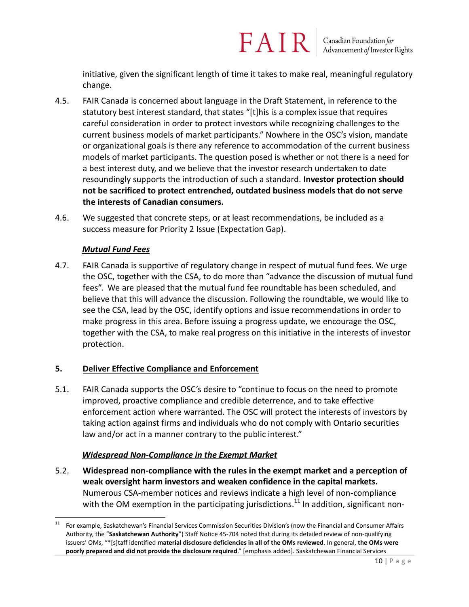initiative, given the significant length of time it takes to make real, meaningful regulatory change.

- 4.5. FAIR Canada is concerned about language in the Draft Statement, in reference to the statutory best interest standard, that states "[t]his is a complex issue that requires careful consideration in order to protect investors while recognizing challenges to the current business models of market participants." Nowhere in the OSC's vision, mandate or organizational goals is there any reference to accommodation of the current business models of market participants. The question posed is whether or not there is a need for a best interest duty, and we believe that the investor research undertaken to date resoundingly supports the introduction of such a standard. **Investor protection should not be sacrificed to protect entrenched, outdated business models that do not serve the interests of Canadian consumers.**
- 4.6. We suggested that concrete steps, or at least recommendations, be included as a success measure for Priority 2 Issue (Expectation Gap).

#### *Mutual Fund Fees*

4.7. FAIR Canada is supportive of regulatory change in respect of mutual fund fees. We urge the OSC, together with the CSA, to do more than "advance the discussion of mutual fund fees". We are pleased that the mutual fund fee roundtable has been scheduled, and believe that this will advance the discussion. Following the roundtable, we would like to see the CSA, lead by the OSC, identify options and issue recommendations in order to make progress in this area. Before issuing a progress update, we encourage the OSC, together with the CSA, to make real progress on this initiative in the interests of investor protection.

#### **5. Deliver Effective Compliance and Enforcement**

5.1. FAIR Canada supports the OSC's desire to "continue to focus on the need to promote improved, proactive compliance and credible deterrence, and to take effective enforcement action where warranted. The OSC will protect the interests of investors by taking action against firms and individuals who do not comply with Ontario securities law and/or act in a manner contrary to the public interest."

#### *Widespread Non-Compliance in the Exempt Market*

5.2. **Widespread non-compliance with the rules in the exempt market and a perception of weak oversight harm investors and weaken confidence in the capital markets.** Numerous CSA-member notices and reviews indicate a high level of non-compliance with the OM exemption in the participating jurisdictions.<sup>11</sup> In addition, significant non-

 11 For example, Saskatchewan's Financial Services Commission Securities Division's (now the Financial and Consumer Affairs Authority, the "**Saskatchewan Authority**") Staff Notice 45-704 noted that during its detailed review of non-qualifying issuers' OMs, "\*\*s]taff identified **material disclosure deficiencies in all of the OMs reviewed**. In general, **the OMs were poorly prepared and did not provide the disclosure required**." [emphasis added]. Saskatchewan Financial Services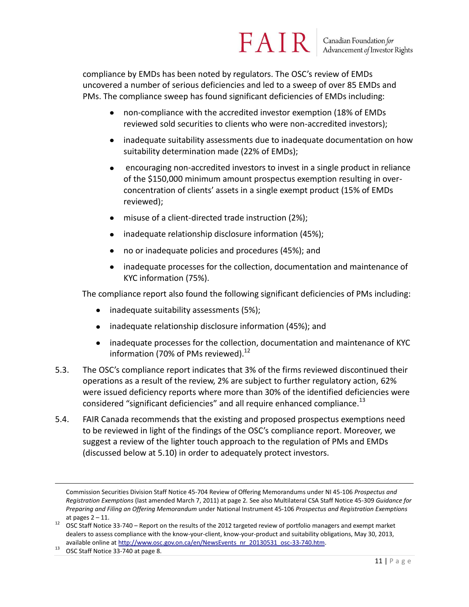#### FAIR Canadian Foundation for Advancement of Investor Rights

compliance by EMDs has been noted by regulators. The OSC's review of EMDs uncovered a number of serious deficiencies and led to a sweep of over 85 EMDs and PMs. The compliance sweep has found significant deficiencies of EMDs including:

- non-compliance with the accredited investor exemption (18% of EMDs reviewed sold securities to clients who were non-accredited investors);
- inadequate suitability assessments due to inadequate documentation on how suitability determination made (22% of EMDs);
- encouraging non-accredited investors to invest in a single product in reliance of the \$150,000 minimum amount prospectus exemption resulting in overconcentration of clients' assets in a single exempt product (15% of EMDs reviewed);
- misuse of a client-directed trade instruction (2%);
- inadequate relationship disclosure information (45%);
- no or inadequate policies and procedures (45%); and  $\bullet$
- inadequate processes for the collection, documentation and maintenance of KYC information (75%).

The compliance report also found the following significant deficiencies of PMs including:

- inadequate suitability assessments (5%);
- inadequate relationship disclosure information (45%); and
- inadequate processes for the collection, documentation and maintenance of KYC information (70% of PMs reviewed). $^{12}$
- 5.3. The OSC's compliance report indicates that 3% of the firms reviewed discontinued their operations as a result of the review, 2% are subject to further regulatory action, 62% were issued deficiency reports where more than 30% of the identified deficiencies were considered "significant deficiencies" and all require enhanced compliance.<sup>13</sup>
- 5.4. FAIR Canada recommends that the existing and proposed prospectus exemptions need to be reviewed in light of the findings of the OSC's compliance report. Moreover, we suggest a review of the lighter touch approach to the regulation of PMs and EMDs (discussed below at 5.10) in order to adequately protect investors.

Commission Securities Division Staff Notice 45-704 Review of Offering Memorandums under NI 45-106 *Prospectus and Registration Exemptions* (last amended March 7, 2011) at page 2*.* See also Multilateral CSA Staff Notice 45-309 *Guidance for Preparing and Filing an Offering Memorandum* under National Instrument 45-106 *Prospectus and Registration Exemptions*  at pages  $2 - 11$ .

<sup>&</sup>lt;sup>12</sup> OSC Staff Notice 33-740 – Report on the results of the 2012 targeted review of portfolio managers and exempt market dealers to assess compliance with the know-your-client, know-your-product and suitability obligations, May 30, 2013, available online a[t http://www.osc.gov.on.ca/en/NewsEvents\\_nr\\_20130531\\_osc-33-740.htm.](http://www.osc.gov.on.ca/en/NewsEvents_nr_20130531_osc-33-740.htm)

 $13$  OSC Staff Notice 33-740 at page 8.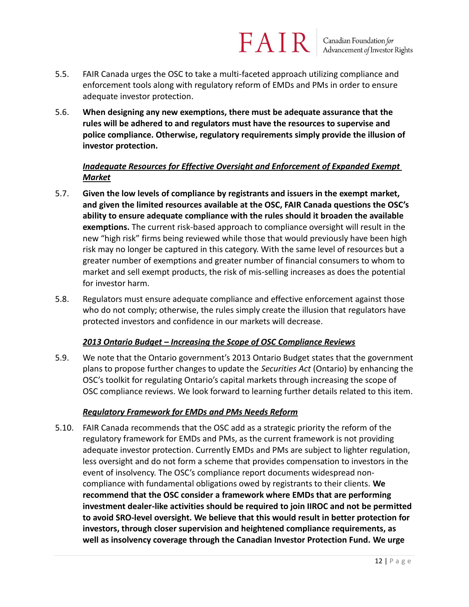### FAIR Canadian Foundation for<br>Advancement of Investor Rights

- 5.5. FAIR Canada urges the OSC to take a multi-faceted approach utilizing compliance and enforcement tools along with regulatory reform of EMDs and PMs in order to ensure adequate investor protection.
- 5.6. **When designing any new exemptions, there must be adequate assurance that the rules will be adhered to and regulators must have the resources to supervise and police compliance. Otherwise, regulatory requirements simply provide the illusion of investor protection.**

#### *Inadequate Resources for Effective Oversight and Enforcement of Expanded Exempt Market*

- 5.7. **Given the low levels of compliance by registrants and issuers in the exempt market, and given the limited resources available at the OSC, FAIR Canada questions the OSC's ability to ensure adequate compliance with the rules should it broaden the available exemptions.** The current risk-based approach to compliance oversight will result in the new "high risk" firms being reviewed while those that would previously have been high risk may no longer be captured in this category. With the same level of resources but a greater number of exemptions and greater number of financial consumers to whom to market and sell exempt products, the risk of mis-selling increases as does the potential for investor harm.
- 5.8. Regulators must ensure adequate compliance and effective enforcement against those who do not comply; otherwise, the rules simply create the illusion that regulators have protected investors and confidence in our markets will decrease.

#### *2013 Ontario Budget – Increasing the Scope of OSC Compliance Reviews*

5.9. We note that the Ontario government's 2013 Ontario Budget states that the government plans to propose further changes to update the *Securities Act* (Ontario) by enhancing the OSC's toolkit for regulating Ontario's capital markets through increasing the scope of OSC compliance reviews. We look forward to learning further details related to this item.

#### *Regulatory Framework for EMDs and PMs Needs Reform*

5.10. FAIR Canada recommends that the OSC add as a strategic priority the reform of the regulatory framework for EMDs and PMs, as the current framework is not providing adequate investor protection. Currently EMDs and PMs are subject to lighter regulation, less oversight and do not form a scheme that provides compensation to investors in the event of insolvency. The OSC's compliance report documents widespread noncompliance with fundamental obligations owed by registrants to their clients. **We recommend that the OSC consider a framework where EMDs that are performing investment dealer-like activities should be required to join IIROC and not be permitted to avoid SRO-level oversight. We believe that this would result in better protection for investors, through closer supervision and heightened compliance requirements, as well as insolvency coverage through the Canadian Investor Protection Fund. We urge**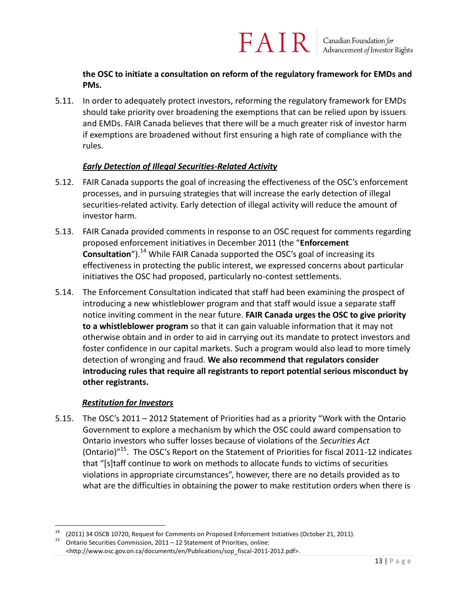**the OSC to initiate a consultation on reform of the regulatory framework for EMDs and PMs.**

FAIR

5.11. In order to adequately protect investors, reforming the regulatory framework for EMDs should take priority over broadening the exemptions that can be relied upon by issuers and EMDs. FAIR Canada believes that there will be a much greater risk of investor harm if exemptions are broadened without first ensuring a high rate of compliance with the rules.

#### *Early Detection of Illegal Securities-Related Activity*

- 5.12. FAIR Canada supports the goal of increasing the effectiveness of the OSC's enforcement processes, and in pursuing strategies that will increase the early detection of illegal securities-related activity. Early detection of illegal activity will reduce the amount of investor harm.
- 5.13. FAIR Canada provided comments in response to an OSC request for comments regarding proposed enforcement initiatives in December 2011 (the "**Enforcement Consultation**").<sup>14</sup> While FAIR Canada supported the OSC's goal of increasing its effectiveness in protecting the public interest, we expressed concerns about particular initiatives the OSC had proposed, particularly no-contest settlements.
- 5.14. The Enforcement Consultation indicated that staff had been examining the prospect of introducing a new whistleblower program and that staff would issue a separate staff notice inviting comment in the near future. **FAIR Canada urges the OSC to give priority to a whistleblower program** so that it can gain valuable information that it may not otherwise obtain and in order to aid in carrying out its mandate to protect investors and foster confidence in our capital markets. Such a program would also lead to more timely detection of wronging and fraud. **We also recommend that regulators consider introducing rules that require all registrants to report potential serious misconduct by other registrants.**

#### *Restitution for Investors*

5.15. The OSC's 2011 – 2012 Statement of Priorities had as a priority "Work with the Ontario Government to explore a mechanism by which the OSC could award compensation to Ontario investors who suffer losses because of violations of the *Securities Act* (Ontario)<sup>"15</sup>. The OSC's Report on the Statement of Priorities for fiscal 2011-12 indicates that "[s]taff continue to work on methods to allocate funds to victims of securities violations in appropriate circumstances", however, there are no details provided as to what are the difficulties in obtaining the power to make restitution orders when there is

 $\overline{a}$ 14 (2011) 34 OSCB 10720, Request for Comments on Proposed Enforcement Initiatives (October 21, 2011).

<sup>&</sup>lt;sup>15</sup> Ontario Securities Commission, 2011 – 12 Statement of Priorities, online:

<sup>&</sup>lt;http://www.osc.gov.on.ca/documents/en/Publications/sop\_fiscal-2011-2012.pdf>.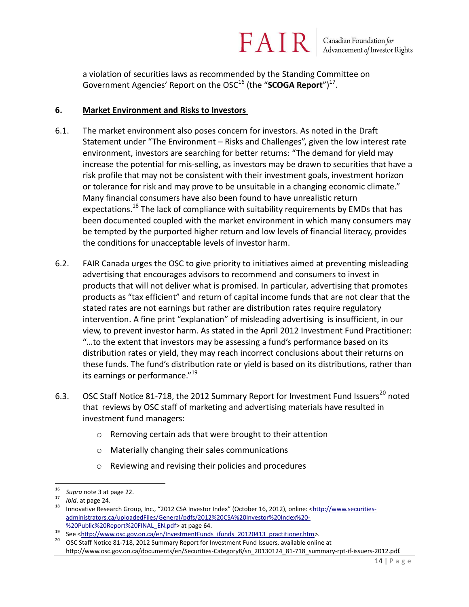Canadian Foundation for<br>Advancement of Investor Rights

a violation of securities laws as recommended by the Standing Committee on Government Agencies' Report on the OSC<sup>16</sup> (the "**SCOGA Report**")<sup>17</sup>.

FAIR

#### **6. Market Environment and Risks to Investors**

- 6.1. The market environment also poses concern for investors. As noted in the Draft Statement under "The Environment – Risks and Challenges", given the low interest rate environment, investors are searching for better returns: "The demand for yield may increase the potential for mis-selling, as investors may be drawn to securities that have a risk profile that may not be consistent with their investment goals, investment horizon or tolerance for risk and may prove to be unsuitable in a changing economic climate." Many financial consumers have also been found to have unrealistic return expectations.<sup>18</sup> The lack of compliance with suitability requirements by EMDs that has been documented coupled with the market environment in which many consumers may be tempted by the purported higher return and low levels of financial literacy, provides the conditions for unacceptable levels of investor harm.
- 6.2. FAIR Canada urges the OSC to give priority to initiatives aimed at preventing misleading advertising that encourages advisors to recommend and consumers to invest in products that will not deliver what is promised. In particular, advertising that promotes products as "tax efficient" and return of capital income funds that are not clear that the stated rates are not earnings but rather are distribution rates require regulatory intervention. A fine print "explanation" of misleading advertising is insufficient, in our view, to prevent investor harm. As stated in the April 2012 Investment Fund Practitioner: "…to the extent that investors may be assessing a fund's performance based on its distribution rates or yield, they may reach incorrect conclusions about their returns on these funds. The fund's distribution rate or yield is based on its distributions, rather than its earnings or performance."<sup>19</sup>
- 6.3. OSC Staff Notice 81-718, the 2012 Summary Report for Investment Fund Issuers<sup>20</sup> noted that reviews by OSC staff of marketing and advertising materials have resulted in investment fund managers:
	- o Removing certain ads that were brought to their attention
	- o Materially changing their sales communications
	- o Reviewing and revising their policies and procedures

 16 *Supra* note 3 at page 22.

<sup>17</sup> *Ibid*. at page 24.

<sup>&</sup>lt;sup>18</sup> Innovative Research Group, Inc., "2012 CSA Investor Index" (October 16, 2012), online: <<u>http://www.securities-</u> [administrators.ca/uploadedFiles/General/pdfs/2012%20CSA%20Investor%20Index%20-](http://www.securities-administrators.ca/uploadedFiles/General/pdfs/2012%20CSA%20Investor%20Index%20-%20Public%20Report%20FINAL_EN.pdf) [%20Public%20Report%20FINAL\\_EN.pdf>](http://www.securities-administrators.ca/uploadedFiles/General/pdfs/2012%20CSA%20Investor%20Index%20-%20Public%20Report%20FINAL_EN.pdf) at page 64.

<sup>19</sup> See [<http://www.osc.gov.on.ca/en/InvestmentFunds\\_ifunds\\_20120413\\_practitioner.htm>](http://www.osc.gov.on.ca/en/InvestmentFunds_ifunds_20120413_practitioner.htm).

<sup>20</sup> OSC Staff Notice 81-718, 2012 Summary Report for Investment Fund Issuers, available online at

http://www.osc.gov.on.ca/documents/en/Securities-Category8/sn\_20130124\_81-718\_summary-rpt-if-issuers-2012.pdf.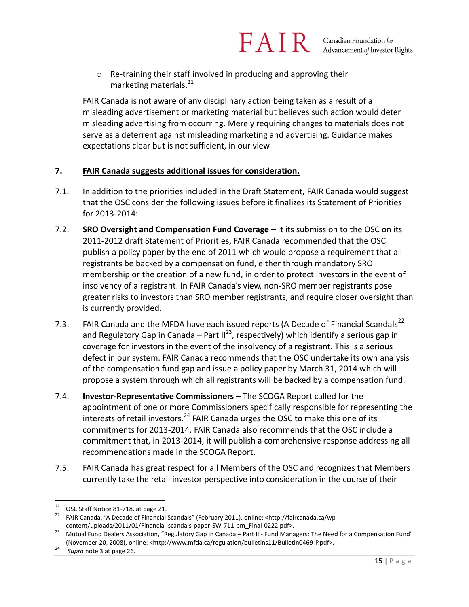o Re-training their staff involved in producing and approving their marketing materials.<sup>21</sup>

FAIR Canada is not aware of any disciplinary action being taken as a result of a misleading advertisement or marketing material but believes such action would deter misleading advertising from occurring. Merely requiring changes to materials does not serve as a deterrent against misleading marketing and advertising. Guidance makes expectations clear but is not sufficient, in our view

FAIR

#### **7. FAIR Canada suggests additional issues for consideration.**

- 7.1. In addition to the priorities included in the Draft Statement, FAIR Canada would suggest that the OSC consider the following issues before it finalizes its Statement of Priorities for 2013-2014:
- 7.2. **SRO Oversight and Compensation Fund Coverage** It its submission to the OSC on its 2011-2012 draft Statement of Priorities, FAIR Canada recommended that the OSC publish a policy paper by the end of 2011 which would propose a requirement that all registrants be backed by a compensation fund, either through mandatory SRO membership or the creation of a new fund, in order to protect investors in the event of insolvency of a registrant. In FAIR Canada's view, non-SRO member registrants pose greater risks to investors than SRO member registrants, and require closer oversight than is currently provided.
- 7.3. FAIR Canada and the MFDA have each issued reports (A Decade of Financial Scandals<sup>22</sup> and Regulatory Gap in Canada – Part II<sup>23</sup>, respectively) which identify a serious gap in coverage for investors in the event of the insolvency of a registrant. This is a serious defect in our system. FAIR Canada recommends that the OSC undertake its own analysis of the compensation fund gap and issue a policy paper by March 31, 2014 which will propose a system through which all registrants will be backed by a compensation fund.
- 7.4. **Investor-Representative Commissioners** The SCOGA Report called for the appointment of one or more Commissioners specifically responsible for representing the interests of retail investors.<sup>24</sup> FAIR Canada urges the OSC to make this one of its commitments for 2013-2014. FAIR Canada also recommends that the OSC include a commitment that, in 2013-2014, it will publish a comprehensive response addressing all recommendations made in the SCOGA Report.
- 7.5. FAIR Canada has great respect for all Members of the OSC and recognizes that Members currently take the retail investor perspective into consideration in the course of their

 21 OSC Staff Notice 81-718, at page 21.

<sup>&</sup>lt;sup>22</sup> FAIR Canada, "A Decade of Financial Scandals" (February 2011), online: <http://faircanada.ca/wpcontent/uploads/2011/01/Financial-scandals-paper-SW-711-pm\_Final-0222.pdf>.

<sup>&</sup>lt;sup>23</sup> Mutual Fund Dealers Association, "Regulatory Gap in Canada – Part II - Fund Managers: The Need for a Compensation Fund" (November 20, 2008), online: <http://www.mfda.ca/regulation/bulletins11/Bulletin0469-P.pdf>.

<sup>24</sup> *Supra* note 3 at page 26.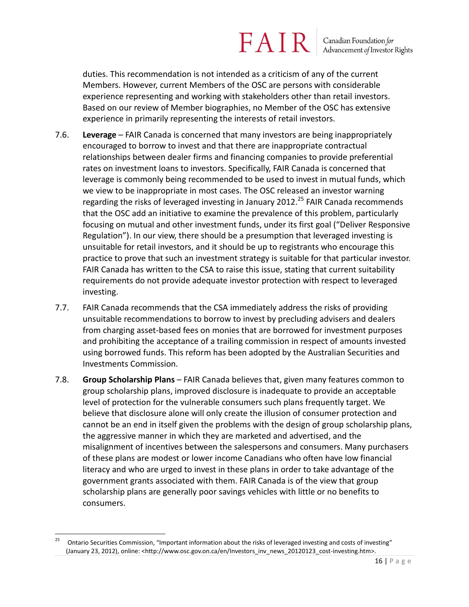Canadian Foundation for<br>Advancement of Investor Rights

duties. This recommendation is not intended as a criticism of any of the current Members. However, current Members of the OSC are persons with considerable experience representing and working with stakeholders other than retail investors. Based on our review of Member biographies, no Member of the OSC has extensive experience in primarily representing the interests of retail investors.

- 7.6. **Leverage** FAIR Canada is concerned that many investors are being inappropriately encouraged to borrow to invest and that there are inappropriate contractual relationships between dealer firms and financing companies to provide preferential rates on investment loans to investors. Specifically, FAIR Canada is concerned that leverage is commonly being recommended to be used to invest in mutual funds, which we view to be inappropriate in most cases. The OSC released an investor warning regarding the risks of leveraged investing in January 2012.<sup>25</sup> FAIR Canada recommends that the OSC add an initiative to examine the prevalence of this problem, particularly focusing on mutual and other investment funds, under its first goal ("Deliver Responsive Regulation"). In our view, there should be a presumption that leveraged investing is unsuitable for retail investors, and it should be up to registrants who encourage this practice to prove that such an investment strategy is suitable for that particular investor. FAIR Canada has written to the CSA to raise this issue, stating that current suitability requirements do not provide adequate investor protection with respect to leveraged investing.
- 7.7. FAIR Canada recommends that the CSA immediately address the risks of providing unsuitable recommendations to borrow to invest by precluding advisers and dealers from charging asset-based fees on monies that are borrowed for investment purposes and prohibiting the acceptance of a trailing commission in respect of amounts invested using borrowed funds. This reform has been adopted by the Australian Securities and Investments Commission.
- 7.8. **Group Scholarship Plans** FAIR Canada believes that, given many features common to group scholarship plans, improved disclosure is inadequate to provide an acceptable level of protection for the vulnerable consumers such plans frequently target. We believe that disclosure alone will only create the illusion of consumer protection and cannot be an end in itself given the problems with the design of group scholarship plans, the aggressive manner in which they are marketed and advertised, and the misalignment of incentives between the salespersons and consumers. Many purchasers of these plans are modest or lower income Canadians who often have low financial literacy and who are urged to invest in these plans in order to take advantage of the government grants associated with them. FAIR Canada is of the view that group scholarship plans are generally poor savings vehicles with little or no benefits to consumers.

<sup>25</sup>  Ontario Securities Commission, "Important information about the risks of leveraged investing and costs of investing" (January 23, 2012), online: <http://www.osc.gov.on.ca/en/Investors\_inv\_news\_20120123\_cost-investing.htm>.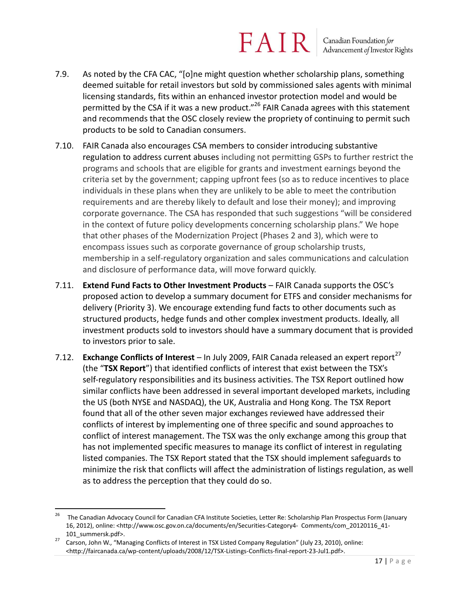Canadian Foundation for<br>Advancement of Investor Rights

- 7.9. As noted by the CFA CAC, "[o]ne might question whether scholarship plans, something deemed suitable for retail investors but sold by commissioned sales agents with minimal licensing standards, fits within an enhanced investor protection model and would be permitted by the CSA if it was a new product."<sup>26</sup> FAIR Canada agrees with this statement and recommends that the OSC closely review the propriety of continuing to permit such products to be sold to Canadian consumers.
- 7.10. FAIR Canada also encourages CSA members to consider introducing substantive regulation to address current abuses including not permitting GSPs to further restrict the programs and schools that are eligible for grants and investment earnings beyond the criteria set by the government; capping upfront fees (so as to reduce incentives to place individuals in these plans when they are unlikely to be able to meet the contribution requirements and are thereby likely to default and lose their money); and improving corporate governance. The CSA has responded that such suggestions "will be considered in the context of future policy developments concerning scholarship plans." We hope that other phases of the Modernization Project (Phases 2 and 3), which were to encompass issues such as corporate governance of group scholarship trusts, membership in a self-regulatory organization and sales communications and calculation and disclosure of performance data, will move forward quickly.
- 7.11. **Extend Fund Facts to Other Investment Products** FAIR Canada supports the OSC's proposed action to develop a summary document for ETFS and consider mechanisms for delivery (Priority 3). We encourage extending fund facts to other documents such as structured products, hedge funds and other complex investment products. Ideally, all investment products sold to investors should have a summary document that is provided to investors prior to sale.
- 7.12. **Exchange Conflicts of Interest** In July 2009, FAIR Canada released an expert report<sup>27</sup> (the "**TSX Report**") that identified conflicts of interest that exist between the TSX's self-regulatory responsibilities and its business activities. The TSX Report outlined how similar conflicts have been addressed in several important developed markets, including the US (both NYSE and NASDAQ), the UK, Australia and Hong Kong. The TSX Report found that all of the other seven major exchanges reviewed have addressed their conflicts of interest by implementing one of three specific and sound approaches to conflict of interest management. The TSX was the only exchange among this group that has not implemented specific measures to manage its conflict of interest in regulating listed companies. The TSX Report stated that the TSX should implement safeguards to minimize the risk that conflicts will affect the administration of listings regulation, as well as to address the perception that they could do so.

<sup>26</sup> The Canadian Advocacy Council for Canadian CFA Institute Societies, Letter Re: Scholarship Plan Prospectus Form (January 16, 2012), online: <http://www.osc.gov.on.ca/documents/en/Securities-Category4- Comments/com\_20120116\_41- 101\_summersk.pdf>.

<sup>27</sup> Carson, John W., "Managing Conflicts of Interest in TSX Listed Company Regulation" (July 23, 2010), online: <http://faircanada.ca/wp-content/uploads/2008/12/TSX-Listings-Conflicts-final-report-23-Jul1.pdf>.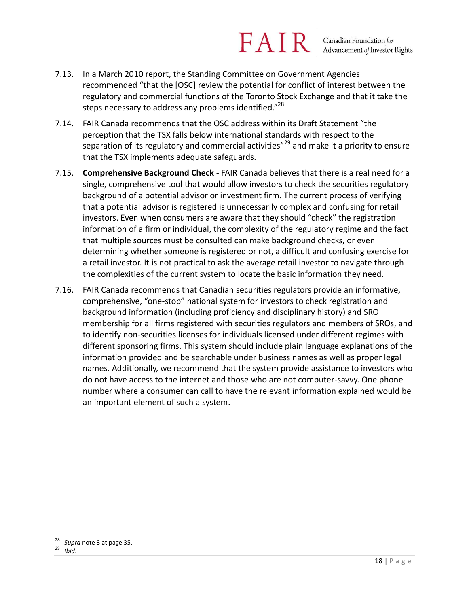Canadian Foundation for<br>Advancement of Investor Rights

- 7.13. In a March 2010 report, the Standing Committee on Government Agencies recommended "that the [OSC] review the potential for conflict of interest between the regulatory and commercial functions of the Toronto Stock Exchange and that it take the steps necessary to address any problems identified."<sup>28</sup>
- 7.14. FAIR Canada recommends that the OSC address within its Draft Statement "the perception that the TSX falls below international standards with respect to the separation of its regulatory and commercial activities"<sup>29</sup> and make it a priority to ensure that the TSX implements adequate safeguards.
- 7.15. **Comprehensive Background Check**  FAIR Canada believes that there is a real need for a single, comprehensive tool that would allow investors to check the securities regulatory background of a potential advisor or investment firm. The current process of verifying that a potential advisor is registered is unnecessarily complex and confusing for retail investors. Even when consumers are aware that they should "check" the registration information of a firm or individual, the complexity of the regulatory regime and the fact that multiple sources must be consulted can make background checks, or even determining whether someone is registered or not, a difficult and confusing exercise for a retail investor. It is not practical to ask the average retail investor to navigate through the complexities of the current system to locate the basic information they need.
- 7.16. FAIR Canada recommends that Canadian securities regulators provide an informative, comprehensive, "one-stop" national system for investors to check registration and background information (including proficiency and disciplinary history) and SRO membership for all firms registered with securities regulators and members of SROs, and to identify non-securities licenses for individuals licensed under different regimes with different sponsoring firms. This system should include plain language explanations of the information provided and be searchable under business names as well as proper legal names. Additionally, we recommend that the system provide assistance to investors who do not have access to the internet and those who are not computer-savvy. One phone number where a consumer can call to have the relevant information explained would be an important element of such a system.

 $\overline{a}$  $\frac{28}{29}$  *Supra* note 3 at page 35.

<sup>29</sup> *Ibid*.